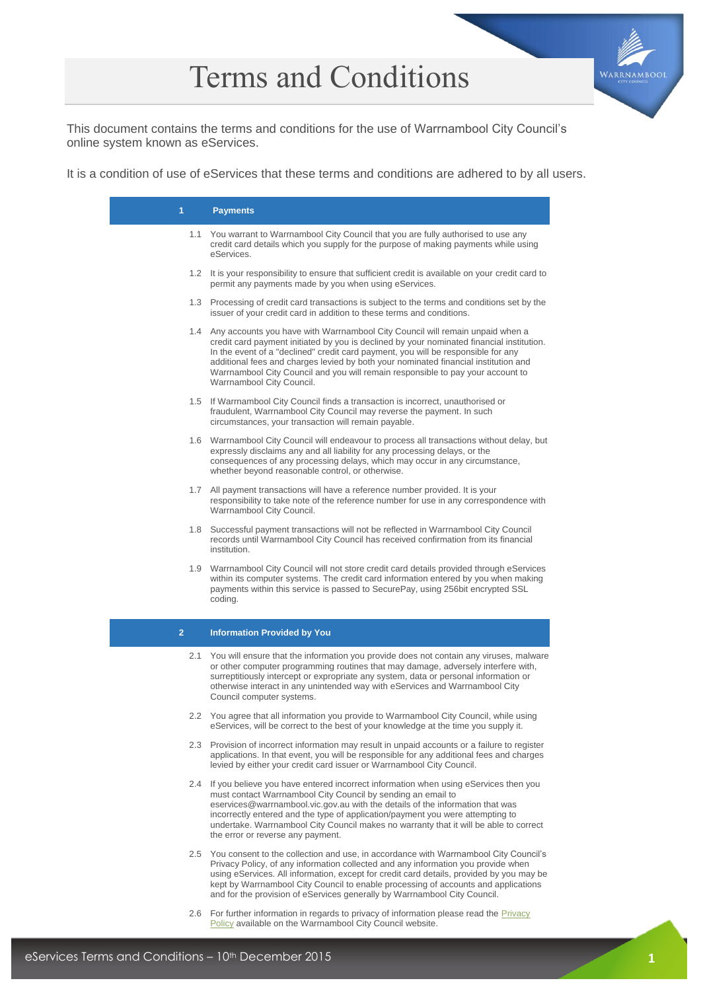# Terms and Conditions



This document contains the terms and conditions for the use of Warrnambool City Council's online system known as eServices.

It is a condition of use of eServices that these terms and conditions are adhered to by all users.

| 1.             | <b>Payments</b>                                                                                                                                                                                                                                                                                                                                                                                                                                                            |
|----------------|----------------------------------------------------------------------------------------------------------------------------------------------------------------------------------------------------------------------------------------------------------------------------------------------------------------------------------------------------------------------------------------------------------------------------------------------------------------------------|
|                | 1.1 You warrant to Warrnambool City Council that you are fully authorised to use any<br>credit card details which you supply for the purpose of making payments while using<br>eServices.                                                                                                                                                                                                                                                                                  |
|                | 1.2 It is your responsibility to ensure that sufficient credit is available on your credit card to<br>permit any payments made by you when using eServices.                                                                                                                                                                                                                                                                                                                |
|                | 1.3 Processing of credit card transactions is subject to the terms and conditions set by the<br>issuer of your credit card in addition to these terms and conditions.                                                                                                                                                                                                                                                                                                      |
|                | 1.4 Any accounts you have with Warrnambool City Council will remain unpaid when a<br>credit card payment initiated by you is declined by your nominated financial institution.<br>In the event of a "declined" credit card payment, you will be responsible for any<br>additional fees and charges levied by both your nominated financial institution and<br>Warrnambool City Council and you will remain responsible to pay your account to<br>Warrnambool City Council. |
|                | 1.5 If Warrnambool City Council finds a transaction is incorrect, unauthorised or<br>fraudulent, Warrnambool City Council may reverse the payment. In such<br>circumstances, your transaction will remain payable.                                                                                                                                                                                                                                                         |
|                | 1.6 Warrnambool City Council will endeavour to process all transactions without delay, but<br>expressly disclaims any and all liability for any processing delays, or the<br>consequences of any processing delays, which may occur in any circumstance,<br>whether beyond reasonable control, or otherwise.                                                                                                                                                               |
|                | 1.7 All payment transactions will have a reference number provided. It is your<br>responsibility to take note of the reference number for use in any correspondence with<br>Warrnambool City Council.                                                                                                                                                                                                                                                                      |
|                | 1.8 Successful payment transactions will not be reflected in Warrnambool City Council<br>records until Warrnambool City Council has received confirmation from its financial<br>institution.                                                                                                                                                                                                                                                                               |
|                | 1.9 Warrnambool City Council will not store credit card details provided through eServices<br>within its computer systems. The credit card information entered by you when making<br>payments within this service is passed to SecurePay, using 256bit encrypted SSL<br>coding.                                                                                                                                                                                            |
| $\overline{2}$ | <b>Information Provided by You</b>                                                                                                                                                                                                                                                                                                                                                                                                                                         |
|                | 2.1 You will ensure that the information you provide does not contain any viruses, malware<br>or other computer programming routines that may damage, adversely interfere with,<br>surreptitiously intercept or expropriate any system, data or personal information or<br>otherwise interact in any unintended way with eServices and Warrnambool City<br>Council computer systems.                                                                                       |
|                | 2.2 You agree that all information you provide to Warrnambool City Council, while using<br>eServices, will be correct to the best of your knowledge at the time you supply it.                                                                                                                                                                                                                                                                                             |
|                | 2.3 Provision of incorrect information may result in unpaid accounts or a failure to register<br>applications. In that event, you will be responsible for any additional fees and charges<br>levied by either your credit card issuer or Warrnambool City Council.                                                                                                                                                                                                         |
|                | 2.4 If you believe you have entered incorrect information when using eServices then you<br>must contact Warrnambool City Council by sending an email to<br>eservices@warrnambool.vic.gov.au with the details of the information that was<br>incorrectly entered and the type of application/payment you were attempting to<br>undertake. Warrnambool City Council makes no warranty that it will be able to correct<br>the error or reverse any payment.                   |
|                | 2.5 You consent to the collection and use, in accordance with Warrnambool City Council's<br>Privacy Policy, of any information collected and any information you provide when<br>using eServices. All information, except for credit card details, provided by you may be<br>kept by Warrnambool City Council to enable processing of accounts and applications<br>and for the provision of eServices generally by Warrnambool City Council.                               |
|                | 2.6 For further information in regards to privacy of information please read the Privacy<br>Policy available on the Warrnambool City Council website.                                                                                                                                                                                                                                                                                                                      |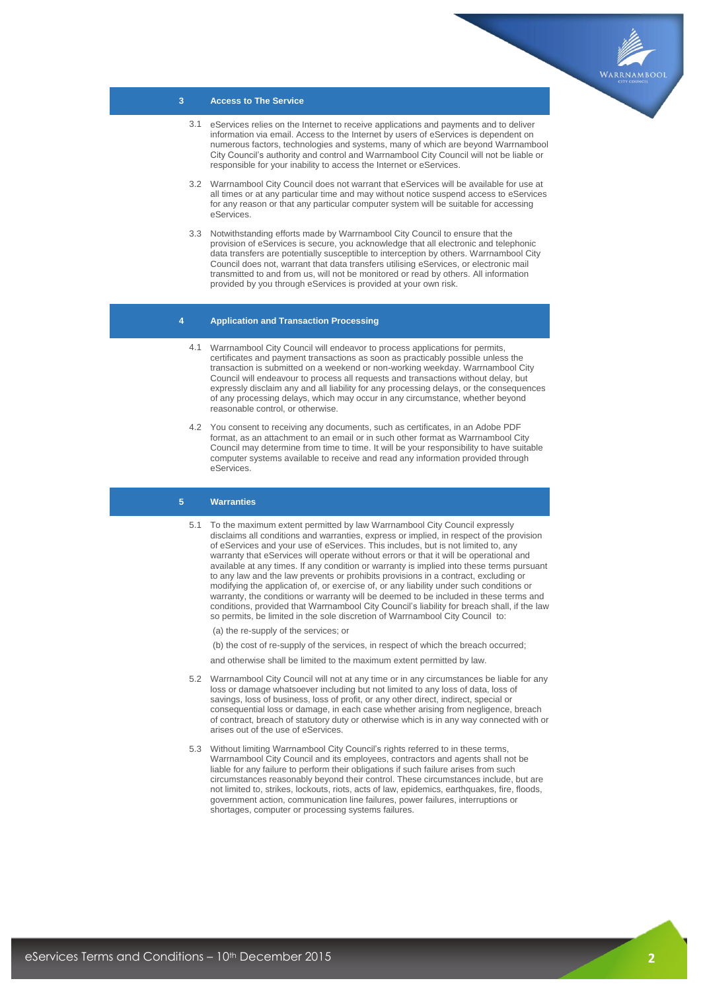

### **3 Access to The Service**

- 3.1 eServices relies on the Internet to receive applications and payments and to deliver information via email. Access to the Internet by users of eServices is dependent on numerous factors, technologies and systems, many of which are beyond Warrnambool City Council's authority and control and Warrnambool City Council will not be liable or responsible for your inability to access the Internet or eServices.
- 3.2 Warrnambool City Council does not warrant that eServices will be available for use at all times or at any particular time and may without notice suspend access to eServices for any reason or that any particular computer system will be suitable for accessing eServices.
- 3.3 Notwithstanding efforts made by Warrnambool City Council to ensure that the provision of eServices is secure, you acknowledge that all electronic and telephonic data transfers are potentially susceptible to interception by others. Warrnambool City Council does not, warrant that data transfers utilising eServices, or electronic mail transmitted to and from us, will not be monitored or read by others. All information provided by you through eServices is provided at your own risk.

## **4 Application and Transaction Processing**

- 4.1 Warrnambool City Council will endeavor to process applications for permits, certificates and payment transactions as soon as practicably possible unless the transaction is submitted on a weekend or non-working weekday. Warrnambool City Council will endeavour to process all requests and transactions without delay, but expressly disclaim any and all liability for any processing delays, or the consequences of any processing delays, which may occur in any circumstance, whether beyond reasonable control, or otherwise.
- 4.2 You consent to receiving any documents, such as certificates, in an Adobe PDF format, as an attachment to an email or in such other format as Warrnambool City Council may determine from time to time. It will be your responsibility to have suitable computer systems available to receive and read any information provided through eServices.

#### **5 Warranties**

5.1 To the maximum extent permitted by law Warrnambool City Council expressly disclaims all conditions and warranties, express or implied, in respect of the provision of eServices and your use of eServices. This includes, but is not limited to, any warranty that eServices will operate without errors or that it will be operational and available at any times. If any condition or warranty is implied into these terms pursuant to any law and the law prevents or prohibits provisions in a contract, excluding or modifying the application of, or exercise of, or any liability under such conditions or warranty, the conditions or warranty will be deemed to be included in these terms and conditions, provided that Warrnambool City Council's liability for breach shall, if the law so permits, be limited in the sole discretion of Warrnambool City Council to:

(a) the re-supply of the services; or

- (b) the cost of re-supply of the services, in respect of which the breach occurred;
- and otherwise shall be limited to the maximum extent permitted by law.
- 5.2 Warrnambool City Council will not at any time or in any circumstances be liable for any loss or damage whatsoever including but not limited to any loss of data, loss of savings, loss of business, loss of profit, or any other direct, indirect, special or consequential loss or damage, in each case whether arising from negligence, breach of contract, breach of statutory duty or otherwise which is in any way connected with or arises out of the use of eServices.
- 5.3 Without limiting Warrnambool City Council's rights referred to in these terms, Warrnambool City Council and its employees, contractors and agents shall not be liable for any failure to perform their obligations if such failure arises from such circumstances reasonably beyond their control. These circumstances include, but are not limited to, strikes, lockouts, riots, acts of law, epidemics, earthquakes, fire, floods, government action, communication line failures, power failures, interruptions or shortages, computer or processing systems failures.